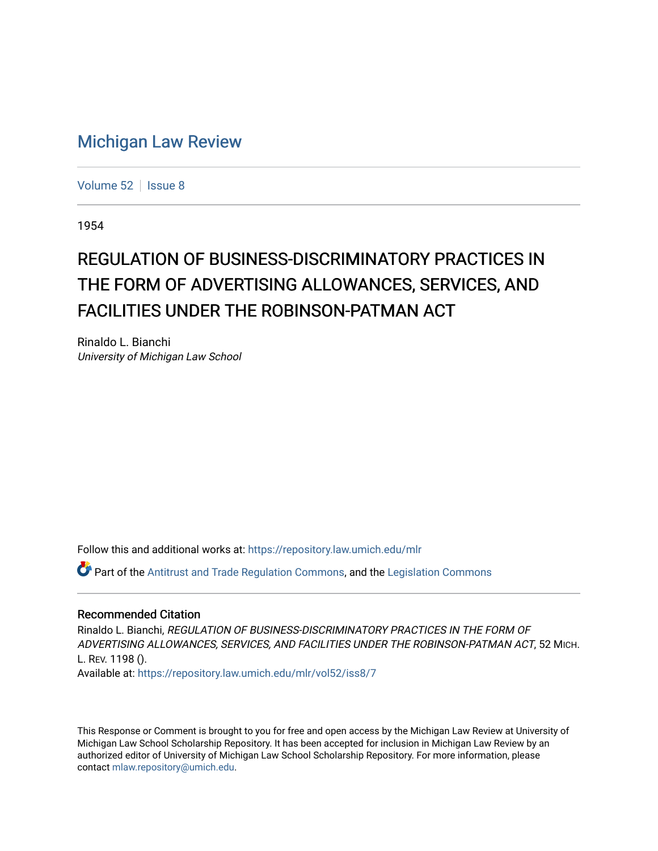# [Michigan Law Review](https://repository.law.umich.edu/mlr)

[Volume 52](https://repository.law.umich.edu/mlr/vol52) | [Issue 8](https://repository.law.umich.edu/mlr/vol52/iss8)

1954

# REGULATION OF BUSINESS-DISCRIMINATORY PRACTICES IN THE FORM OF ADVERTISING ALLOWANCES, SERVICES, AND FACILITIES UNDER THE ROBINSON-PATMAN ACT

Rinaldo L. Bianchi University of Michigan Law School

Follow this and additional works at: [https://repository.law.umich.edu/mlr](https://repository.law.umich.edu/mlr?utm_source=repository.law.umich.edu%2Fmlr%2Fvol52%2Fiss8%2F7&utm_medium=PDF&utm_campaign=PDFCoverPages) 

Part of the [Antitrust and Trade Regulation Commons,](http://network.bepress.com/hgg/discipline/911?utm_source=repository.law.umich.edu%2Fmlr%2Fvol52%2Fiss8%2F7&utm_medium=PDF&utm_campaign=PDFCoverPages) and the [Legislation Commons](http://network.bepress.com/hgg/discipline/859?utm_source=repository.law.umich.edu%2Fmlr%2Fvol52%2Fiss8%2F7&utm_medium=PDF&utm_campaign=PDFCoverPages) 

#### Recommended Citation

Rinaldo L. Bianchi, REGULATION OF BUSINESS-DISCRIMINATORY PRACTICES IN THE FORM OF ADVERTISING ALLOWANCES, SERVICES, AND FACILITIES UNDER THE ROBINSON-PATMAN ACT, 52 MICH. L. REV. 1198 (). Available at: [https://repository.law.umich.edu/mlr/vol52/iss8/7](https://repository.law.umich.edu/mlr/vol52/iss8/7?utm_source=repository.law.umich.edu%2Fmlr%2Fvol52%2Fiss8%2F7&utm_medium=PDF&utm_campaign=PDFCoverPages)

This Response or Comment is brought to you for free and open access by the Michigan Law Review at University of Michigan Law School Scholarship Repository. It has been accepted for inclusion in Michigan Law Review by an authorized editor of University of Michigan Law School Scholarship Repository. For more information, please contact [mlaw.repository@umich.edu](mailto:mlaw.repository@umich.edu).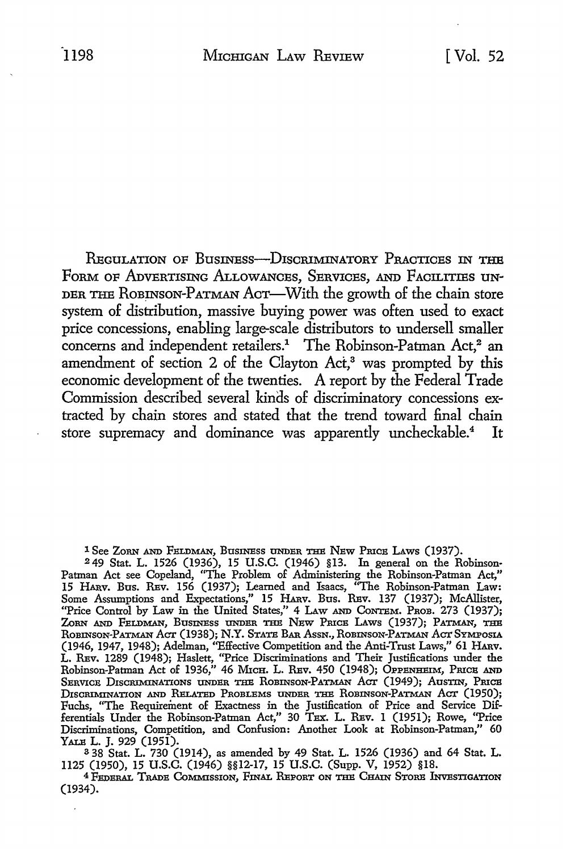REGULATION OF BUSINESS-DISCRIMINATORY PRACTICES IN THE FORM OF ADVERTISING ALLOWANCES, SERVICES, AND FACILITIES UN-DER THE ROBINSON-PATMAN ACT-With the growth of the chain store system of distribution, massive buying power was often used to exact price concessions, enabling large-scale distributors to undersell smaller concerns and independent retailers.<sup>1</sup> The Robinson-Patman Act,<sup>2</sup> an amendment of section 2 of the Clayton Act,<sup>3</sup> was prompted by this economic development of the twenties. A report by the Federal Trade Commission described several kinds of discriminatory concessions extracted by chain stores and stated that the trend toward final chain store supremacy and dominance was apparently uncheckable.<sup>4</sup> It

l See ZoRN AND FELDMAN, BusxNEss UNDER THE NEw PRICE LAws (1937).

<sup>2</sup> 49 Stat. L. 1526 (1936), 15 U.S.C. (1946) §13. In general on the Robinson-Patman Act see Copeland, "The Problem of Administering the Robinson-Patman Act," 15 HARV. Bus. REV. 156 (1937); Learned and Isaacs, "The Robinson-Patman Law: Some Assumptions and Expectations," 15 HARv. Bus. REv. 137 (1937); McAllister, "Price Control by Law in the United States," 4 Law AND CONTEM. PROB. 273 (1937); ZORN AND FELDMAN, BUSINESS UNDER THE NEW PRICE LAWS (1937); PATMAN, THE ROBINSON-PATMAN ACT (1938); N.Y. STATE BAR ASSN., ROBINSON-PATMAN ACT SYMPOSIA (1946, 1947, 1948); Adelman, ''Effective Competition and the Anti-Trust Laws," 61 HARv. L. REv. 1289 (1948); Haslett, "Price Discriminations and Their Justifications under the Robinson-Patman Act of 1936," 46 Mich. L. Rev. 450 (1948); Oppenheim, Price and SERVICE DISCRIMINATIONS UNDER THE ROBINSON-PATMAN ACT (1949); AUSTIN, PRICE DISCRIMINATION AND RELATED PROBLEMS UNDER THE ROBINSON-PATMAN ACT (1950); Fuchs, "The Requirement of Exactness in the Justification of Price and Service Differentials Under the Robinson-Patman Act," 30 Tex:. L. REv. 1 (1951); Rowe, "Price Discriminations, Competition, and Confusion: Another Look at Robinson-Patman,'' 60

YALE L. J. 929 (1951).<br>338 Stat. L. 730 (1914), as amended by 49 Stat. L. 1526 (1936) and 64 Stat. L. 1125 (1950), 15 U.S.C. (1946) §§12-17, 15 U.S.C. (Supp. V, 1952) §18.

<sup>4</sup> FEDERAL TRADE COMMISSION, FINAL REPORT ON THE CHAIN STORE INVESTIGATION (1934).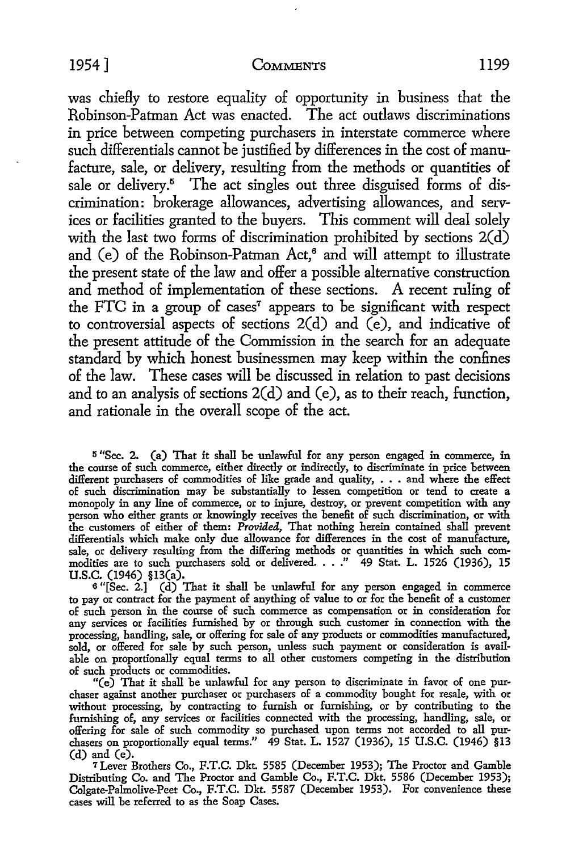1954] **CoMMENTS** ll99

was chiefly to restore equality of opportunity in business that the Robinson-Patman *Act* was enacted. The act outlaws discriminations in price between competing purchasers in interstate commerce where such differentials cannot be justified by differences in the cost of manufacture, sale, or delivery, resulting from the methods or quantities of sale or delivery.<sup>5</sup> The act singles out three disguised forms of discrimination: brokerage allowances, advertising allowances, and services or facilities granted to the buyers. This comment will deal solely with the last two forms of discrimination prohibited by sections  $2(d)$ and  $(e)$  of the Robinson-Patman Act,<sup>6</sup> and will attempt to illustrate the present state of the law and offer a possible alternative construction and method of implementation of these sections. A recent ruling of the FTC in a group of cases<sup>7</sup> appears to be significant with respect to controversial aspects of sections 2(d) and (e), and indicative of the present attitude of the Commission in the search for an adequate standard by which honest businessmen may keep within the confines of the law. These cases will be discussed in relation *to* past decisions and to an analysis of sections 2(d) and (e), as *to* their reach, function, and rationale in the overall scope of the act.

<sup>5</sup>"Sec. **2.** (a) That it shall be unlawful for any person engaged in commerce, in the course of such commerce, either directly or indirectly, to discriminate in price between different purchasers of commodities of like grade and quality, • • • and where the effect of such discrimination may be substantially to lessen competition or tend to create a monopoly in any line of commerce, or to injure, destroy, or prevent competition with any person who either grants or knowingly receives the benefit of such discrimination, or with the customers of either of them: *Provided*, That nothing herein contained shall prevent differentials which make only due allowance for differences in the cost of manufacture, sale, or delivery resulting from the differing methods or quantities in which such com-modities are to such purchasers sold or delivered .••• " 49 Stat. L. 1526 (1936), **<sup>15</sup> U.S.C.** (1946) §13(a).

<sup>6</sup>"[Sec. 2.] (d) That it shall be unlawful for any person engaged in commerce to pay or contract for the payment of anything of value to or for the benefit of a customer of such person in the course of such commerce as compensation or in consideration for any services or facilities furnished by or through such customer in connection with the processing, handling, sale, or offering for sale of any products or commodities manufactured, sold, or offered for sale by such person, unless such payment or consideration is available on proportionally equal terms to all other customers competing in the distribution of such products or commodities.

"(e) That it shall be unlawful for any person to discriminate in favor of one purchaser against another purchaser or purchasers of a commodity bought for resale, with or without processing, by contracting to furnish or furnishing, or by contributing to the furnishing of, any services or facilities connected with the processing, handling, sale, or offering for sale of such commodity so purchased upon terms not accorded to all purchasers on proportionally equal terms." 49 Stat. L. 1527 (1936), 15 U.S.C. (1946) §13 (d) and (e).

<sup>7</sup>Lever Brothers Co., F.T.C. Dkt. 5585 (December 1953); The Proctor and Gamble Distributing Co. and The Proctor and Gamble Co., F.T.C. Dkt. 5586 (December 1953); Colgate-Palmolive-Peet Co., F.T.C. Dkt. 5587 (December 1953). For convenience these cases will be referred to as the Soap Cases.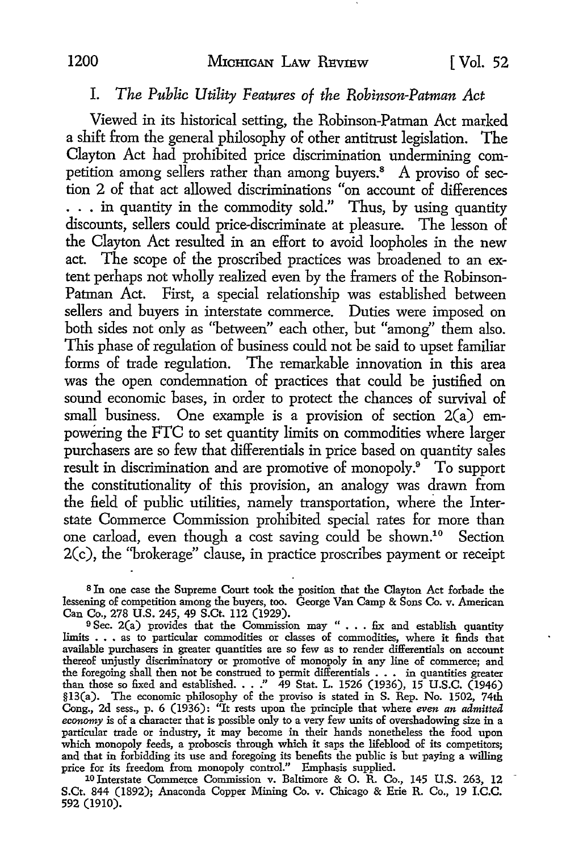## I. *The Public Utility Features of the Robinson-Patman Act*

Viewed in its historical setting, the Robinson-Patman Act marked a shift from the general philosophy of other antitrust legislation. The Clayton Act had prohibited price discrimination undermining competition among sellers rather than among buyers.<sup>8</sup> A proviso of section 2 of that act allowed discriminations "on account of differences ... in quantity in the commodity sold." Thus, by using quantity discounts, sellers could price-discriminate at pleasure. The lesson of the Clayton Act resulted in an effort to avoid loopholes in the new act. The scope of the proscribed practices was broadened to an extent perhaps not wholly realized even by the framers of the Robinson-Patman Act. First, a special relationship was established between sellers and buyers in interstate commerce. Duties were imposed on both sides not only as "between" each other, but "among" them also. This phase of regulation of business could not be said to upset familiar forms of trade regulation. The remarkable innovation in this area was the open condemnation of practices that could be justified on sound economic bases, in order to protect the chances of survival of small business. One example is a provision of section  $2(a)$  empowering the FTC to set quantity limits on commodities where larger purchasers are so few that differentials in price based on quantity sales result in discrimination and are promotive of monopoly.9 To support the constitutionality of this provision, an analogy was drawn from the field of public utilities, namely transportation, where the Interstate Commerce Commission prohibited special rates for more than one carload, even though a cost saving could be shown.10 Section 2(c), the ''brokerage" clause, in practice proscribes payment or receipt

s In one case the Supreme Court took the position that the Clayton Act forbade the lessening of competition among the buyers, too. George Van Camp & Sons Co. v. American Can Co., 278 U.S. 245, 49 S.Ct. 112 (1929).

9 Sec. 2(a) provides that the Commission may " . . . fix and establish quantity limits . • • as to particular commodities or classes of commodities, where it finds that available purchasers in greater quantities are so few as to render differentials on account thereof unjustly discriminatory or promotive of monopoly in any line of commerce; and the foregoing shall then not be construed to permit differentials . . . in quantities greater<br>than those so fixed and established. . . ." 49 Stat. L. 1526 (1936), 15 U.S.C. (1946)<br>§13(a). The economic philosophy of the pro Cong., 2d sess., p. 6 (1936): "It rests upon the principle that where *even an admitted*  economy is of a character that is possible only to a very few units of overshadowing size in a particular trade or industry, it may become in their hands nonetheless the food upon which monopoly feeds, a proboscis through which it saps the lifeblood of its competitors; and that in forbidding its use and foregoing its benefits the public is but paying a willing price for its freedom from monopoly control." Emphasis supplied.

<sup>10</sup> Interstate Commerce Commission v. Baltimore & O. R. Co., 145 U.S. 263, 12 S.Ct. 844 (1892); Anaconda Copper Mining Co. v. Chicago & Erie R. Co., 19 I.C.C. 592 (1910).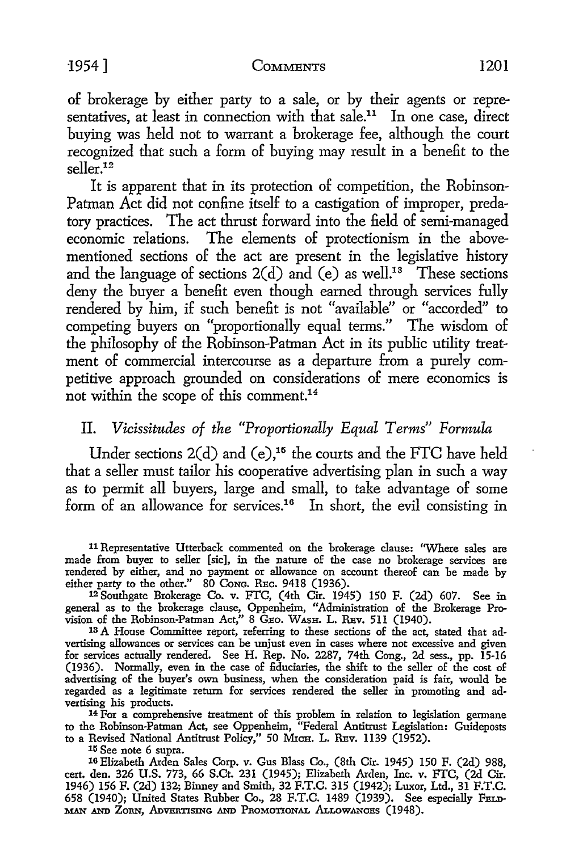#### -1954] COMMENTS 1201

of brokerage by either party to a sale, or by their agents or representatives, at least in connection with that sale.<sup>11</sup> In one case, direct buying was held not to warrant a brokerage fee, although the court recognized that such a form of buying may result in a benefit to the seller.<sup>12</sup>

It is apparent that in its protection of competition, the Robinson-Patman Act did not confine itself to a castigation of improper, predatory practices. The act thrust forward into the field of semi-managed economic relations. The elements of protectionism in the abovementioned sections of the act are present in the legislative history and the language of sections  $2(d)$  and (e) as well.<sup>13</sup> These sections deny the buyer a benefit even though earned through services fully rendered by him, if such benefit is not "available" or "accorded" to competing buyers on "proportionally equal terms." The wisdom of the philosophy of the Robinson-Patman Act in its public utility treatment of commercial intercourse as a departure from a purely competitive approach grounded on considerations of mere economics is not within the scope of this comment.14

# II. *Vicissitudes of the "Proportionally Equal Terms" Formula*

Under sections  $2(d)$  and  $(e)$ ,<sup>15</sup> the courts and the FTC have held that a seller must tailor his cooperative advertising plan in such a way as to permit all buyers, large and small, to take advantage of some form of an allowance for services.<sup>16</sup> In short, the evil consisting in

<sup>14</sup> For a comprehensive treatment of this problem in relation to legislation germane to the Robinson-Patman Act, see Oppenheim, "Federal Antitrust Legislation: Guideposts to a Revised National Antitrust Policy," 50 MICH. L. REv. 1139 (1952).

15 See note 6 supra.

16 Elizabeth Arden Sales Corp. v. Gus Blass Co., (8th Cir. 1945) 150 F. (2d) 988, cert. den. 326 U.S. 773, 66 S.Ct. 231 (1945); Elizabeth Arden, Inc. v. FTC, (2d Cir. 1946) 156 F. (2d) 132; Binney and Smith, 32 F.T.C. 315 (1942); Luxor, Ltd., 31 F.T.C. 658 (1940); United States Rubber Co., 28 F.T.C. 1489 (1939). See especially FELD-MAN AND ZoRN, ADVERTISING AND PROMOTIONAL ALLOWANCES (1948).

<sup>11</sup> Representative Utterback commented on the brokerage clause: "Where sales are made from buyer to seller [sic], in the nature of the case no brokerage services are rendered by either, and no payment or allowance on account thereof can be made by either party to the other." 80 Cong. REC. 9418 (1936).

<sup>12</sup>Southgate Brokerage Co. v. FTC, ( 4th Cir. 1945) 150 F. (2d) 607. See in general as to the brokerage clause, Oppenheim, "Administration of the Brokerage Provision of the Robinson-Patman Act," 8 GEo. WASH. L. REv. 511 (1940).

<sup>13</sup> A House Committee report, referring to these sections of the act, stated that advertising allowances or services can be unjust even in cases where not excessive and given for services actually rendered. See H. Rep. No. 2287, 74th Cong., 2d sess., pp. 15-16 (1936). Normally, even in the case of fiduciaries, the shift to the seller of the cost of advertising of the buyer's own business, when the consideration paid is fair, would be regarded as a legitimate return for services rendered the seller in promoting and advertising his products.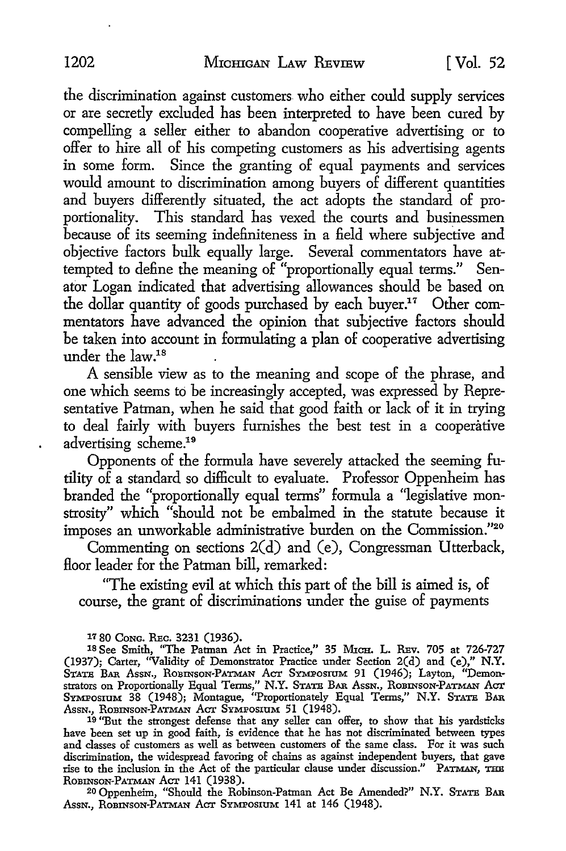the discrimination against customers who either could supply services or are secretly excluded has been interpreted to have been cured by compelling a seller either to abandon cooperative advertising or to offer to hire all of his competing customers as his advertising agents in some form. Since the granting of equal payments and services would amount to discrimination among buyers of different quantities and buyers differently situated, the act adopts the standard of proportionality. This standard has vexed the courts and businessmen because of its seeming indefiniteness in a field where subjective and objective factors bulk equally large. Several commentators have attempted to define the meaning of "proportionally equal terms." Senator Logan indicated that advertising allowances should be based on the dollar quantity of goods purchased by each buyer.17 Other commentators have advanced the opinion that subjective factors should be taken into account in formulating a plan of cooperative advertising under the law.18

A sensible view as to the meaning and scope of the phrase, and one which seems to be increasingly accepted, was expressed by Representative Patman, when he said that good faith or lack of it in trying to deal fairly with buyers furnishes the best test in a cooperative advertising scheme.19

Opponents of the formula have severely attacked the seeming futility of a standard so difficult to evaluate. Professor Oppenheim has branded the "proportionally equal terms" formula a "legislative monstrosity" which "should not be embalmed in the statute because it imposes an unworkable administrative burden on the Commission."20

Commenting on sections 2(d) and (e), Congressman Utterback, floor leader for the Patman bill, remarked:

"The existing evil at which this part of the bill is aimed is, of course, the grant of discriminations under the guise of payments

17 80 CoNG. REc. 3231 (1936).

18 See Smith, "The Patman Act in Practice," 35 MICH. L. REv. 705 at 726-727 (1937); Carter, ''Validity of Demonstrator Practice under Section 2(d) and (e)," N.Y. State Bar Assn., Robinson-Patman Act Symposium 91 (1946); Layton, "Demonstrators on Proportionally Equal Terms," N.Y. State Bar. Assn., Robinson-Patman Act SYMPOSIUM 38 (1948); Montague, "Proportionately Equal Terms," N.Y. STATE BAR Assn., Robinson-Patman Act Symposium 51 (1948).

19 "But the strongest defense that any seller can offer, to show that his yardsticks have been set up in good faith, is evidence that he has not discriminated between types and classes of customers as well as between customers of the same class. For it was such discrimination, the widespread favoring of chains as against independent buyers, that gave<br>rise to the inclusion in the Act of the particular clause under discussion." PATMAN, THE ROBINSON-PATMAN ACT 141 (1938).

20 Oppenheim, "Should the Robinson-Patman Act Be Amended?" N.Y. STATE BAR Assn., ROBINSON-PATMAN ACT SYMPOSIUM 141 at 146 (1948).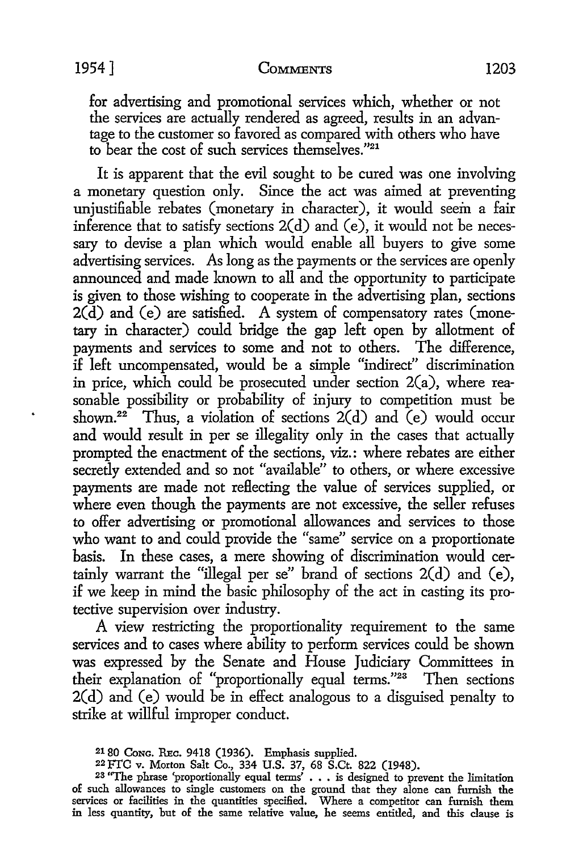for advertising and promotional services which, whether or not the services are actually rendered as agreed, results in an advantage to the customer so favored as compared with others who have to bear the cost of such services themselves."21

It is apparent that the evil sought to be cured was one involving a monetary question only. Since the act was aimed at preventing uniustifiable rebates (monetary in character), it would seem a fair inference that to satisfy sections  $2(d)$  and (e), it would not be necessary to devise a plan which would enable all buyers to give some advertising services. As long as the payments or the services are openly announced and made known to all and the opportunity to participate is given to those wishing to cooperate in the advertising plan, sections  $2(d)$  and  $(e)$  are satisfied. A system of compensatory rates (monetary in character) could bridge the gap left open by allotment of payments and services to some and not to others. The difference, if left uncompensated, would be a simple "indirect" discrimination in price, which could be prosecuted under section  $2(a)$ , where reasonable possibility or probability of injury to competition must be shown.<sup>22</sup> Thus, a violation of sections  $2(d)$  and  $(e)$  would occur and would result in per se illegality only in the cases that actually prompted the enactment of the sections, viz.: where rebates are either secretly extended and so not "available" to others, or where excessive payments are made not reflecting the value of services supplied, or where even though the payments are not excessive, the seller refuses to offer advertising or promotional allowances and services to those who want to and could provide the "same" service on a proportionate basis. In these cases, a mere showing of discrimination would certainly warrant the "illegal per se" brand of sections  $2(d)$  and  $(e)$ , if we keep in mind the basic philosophy of the act in casting its protective supervision over industry.

A view restricting the proportionality requirement to the same services and to cases where ability to perform services could be shown was expressed by the Senate and House Judiciary Committees in their explanation of "proportionally equal terms."23 Then sections 2(d) and (e) would be in effect analogous to a disguised penalty to strike at willful improper conduct.

<sup>2180</sup> CoNG. REc. 9418 (1936). Emphasis supplied.

<sup>22</sup> FTC v. Morton Salt Co., 334 U.S. 37, 68 S.Ct. 822 (1948).

<sup>23 &#</sup>x27;'The phrase 'proportionally equal terms' • • • is designed to prevent the limitation of such allowances to single customers on the ground that they alone can furnish the services or facilities in the quantities specified. Where a competitor can furnish them in less quantity, but of the same relative value, he seems entitled, and this clause is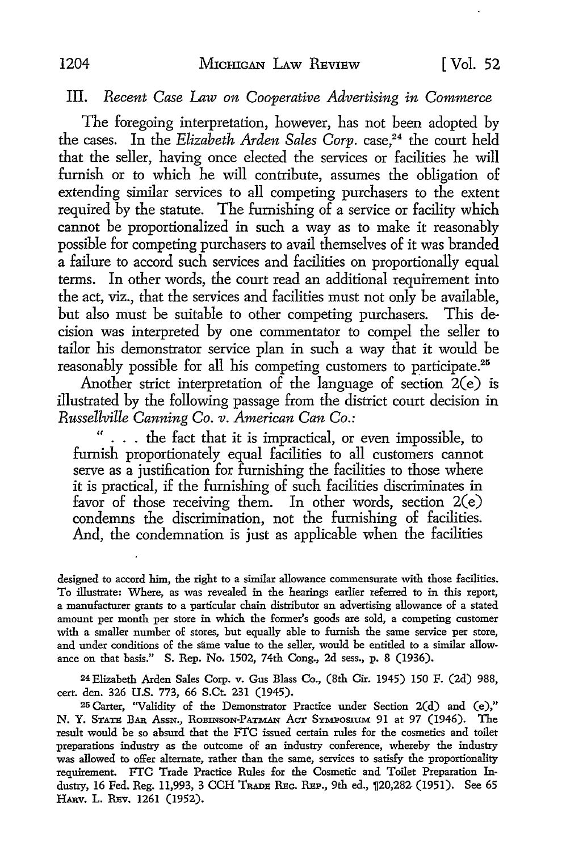#### III. *Recent Case Law on Cooperative Advertising in Commerce*

The foregoing interpretation, however, has not been adopted by the cases. In the *Elizabeth Arden Sales Corp*. case,<sup>24</sup> the court held that the seller, having once elected the services or facilities he will furnish or to which he will contribute, assumes the obligation of extending similar services to all competing purchasers to the extent required by the statute. The furnishing of a service or facility which cannot be proportionalized in such a way as to make it reasonably possible for competing purchasers to avail themselves of it was branded a failure to accord such services and facilities on proportionally equal terms. In other words, the court read an additional requirement into the act, viz., that the services and facilities must not only be available, but also must be suitable to other competing purchasers. This decision was interpreted by one commentator to compel the seller to tailor his demonstrator service plan in such a way that it would be reasonably possible for all his competing customers to participate.<sup>25</sup>

Another strict interpretation of the language of section  $2(e)$  is illustrated by the following passage from the district court decision in *Russellville Canning Co. v. American Can Co.:* 

... the fact that it is impractical, or even impossible, to furnish proportionately equal facilities to all customers cannot serve as a justification for furnishing the facilities to those where it is practical, if the furnishing of such facilities discriminates in favor of those receiving them. In other words, section 2(e) condemns the discrimination, not the furnishing of facilities. And, the condemnation is just as applicable when the facilities

designed to accord him, the right to a similar allowance commensurate with those facilities. To illustrate: Where, as was revealed in the hearings earlier referred to in this report, a manufacturer grants to a particular chain distributor an advertising allowance of a stated amount per month per store in which the former's goods are sold, a competing customer with a smaller number of stores, but equally able to furnish the same service per store, and under conditions of the same value to the seller, would be entitled to a similar allowance on that basis." S. Rep. No. 1502, 74th Cong., 2d sess., p. 8 (1936).

24 Elizabeth Arden Sales Corp. v. Gus Blass Co., (8th Cir. 1945) 150 F. (2d) 988, cert. den. 326 U.S. 773, 66 S.Ct. 231 (1945).

25 Carter, "Validity of the Demonstrator Practice under Section 2(d) and (e)," N. Y. STATS BAR AssN., RoBINSON-PATMAN *Am:* SYMPOSIUM 91 at 97 (1946). The result would be so absurd that the FTC issued certain rules for the cosmetics and toilet preparations industry as the outcome of an industry conference, whereby the industry was allowed to offer alternate, rather than the same, services to satisfy the proportionality requirement. FTC Trade Practice Rules for the Cosmetic and Toilet Preparation Industry, 16 Fed. Reg. 11,993, 3 CCH Trade Reg. Rep., 9th ed., ¶20,282 (1951). See 65 HARV. L. REv. 1261 (1952).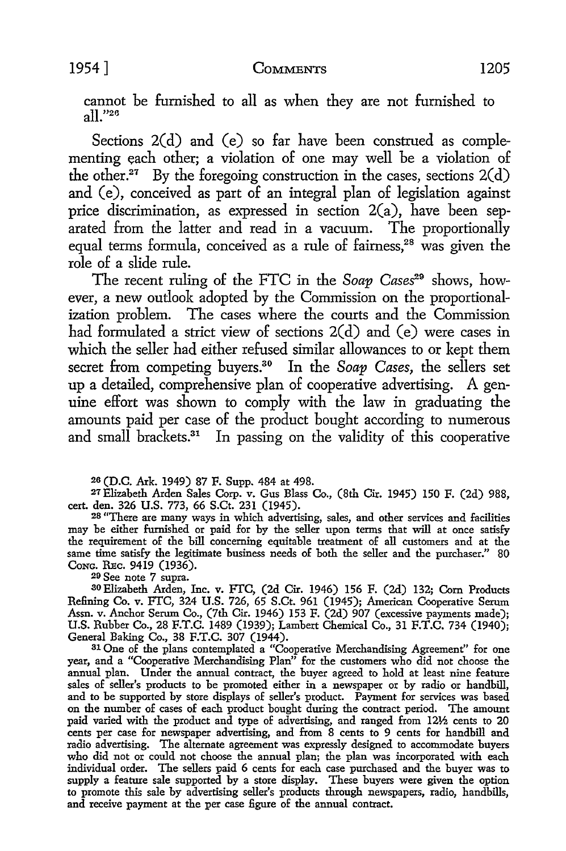cannot be furnished to all as when they are not furnished to  $a||^{v_{26}}$ 

Sections 2(d) and (e) so far have been construed as complementing each other; a violation of one may well be a violation of the other.<sup>27</sup> By the foregoing construction in the cases, sections  $2(d)$ and (e), conceived as part of an integral plan of legislation against price discrimination, as expressed in section  $2(a)$ , have been separated from the latter and read in a vacuum. The proportionally equal terms formula, conceived as a rule of fairness,<sup>28</sup> was given the role of a slide rule.

The recent ruling of the FTC in the *Soap Cases29* shows, however, a new outlook adopted by the Commission on the proportionalization problem. The cases where the courts and the Commission had formulated a strict view of sections 2(d) and (e) were cases in which the seller had either refused similar allowances to or kept them secret from competing buyers.30 In the *Soap Cases,* the sellers set up a detailed, comprehensive plan of cooperative advertising. A genuine effort was shown to comply with the law in graduating the amounts paid per case of the product bought according to numerous and small brackets. $31$  In passing on the validity of this cooperative

20 (D.C. Ark. 1949) 87 F. Supp. 484 at 498.

*21* Elizabeth Arden Sales Corp. v. Gus Blass Co., (8th Cir. 1945) 150 F. (2d) 988,

cert. den. 326 U.S. 773, 66 S.Ct. 231 (1945). 28 "There are many ways in which advertising, sales, and other services and facilities <sup>28</sup> "There are many ways in which advertising, sales, and other services and facilities may be either furnished or paid for by the seller upon terms that will at once satisfy the requirement of the bill concerning equitable treatment of all customers and at the same time satisfy the legitimate business needs of both the seller and the purchaser." 80 Cong. Rec. 9419 (1936).

29 See note 7 supra.

<sup>3</sup>0Elizabeth Arden, Inc. v. FTC, (2d Cir. 1946) 156 F. (2d) 132; Com Products Refining Co. v. FTC, 324 U.S. 726, 65 S.Ct. 961 (1945); American Cooperative Serum Assn. v. Anchor Serum Co., (7th Cir. 1946) 153 F. (2d) 907 (excessive payments made); U.S. Rubber Co., 28 F.T.C. 1489 (1939); Lambert Chemical Co., 31 F.T.C. 734 (1940); General Baking Co., 38 F.T.C. 307 (1944).

31 One of the plans contemplated a "Cooperative Merchandising Agreement" for one year, and a "Cooperative Merchandising Plan" for the customers who did not choose the annual plan. Under the annual contract, the buyer agreed to hold at least nine feature sales of seller's products to be promoted either in a newspaper or by radio or handbill, and to be supported by store displays of seller's product. Payment for services was based on the number of cases of each product bought during the contract period. The amount paid varied with the product and type of advertising, and ranged from 12½ cents to 20 cents per case for newspaper advertising, and from 8 cents to 9 cents for handbill and radio advertising. The alternate agreement was expressly designed to accommodate buyers who did not or could not choose the annual plan; the plan was incorporated with each individual order. The sellers paid 6 cents for each case purchased and the buyer was to supply a feature sale supported by a store display. These buyers were given the option to promote this sale by advertising seller's products through newspapers, radio, handbills, and receive payment at the per case figure of the annual contract.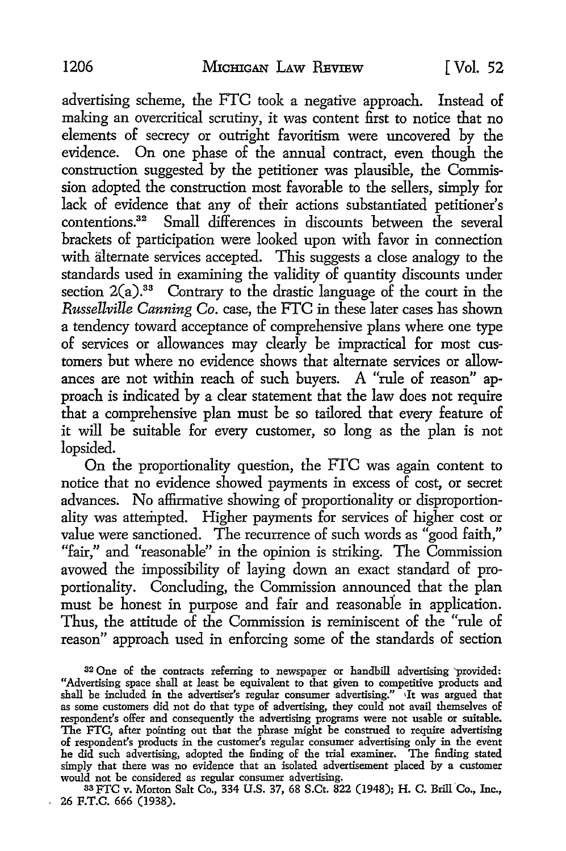advertising scheme, the FTC took a negative approach. Instead of making an overcritical scrutiny, it was content first to notice that no elements of secrecy or outright favoritism were uncovered by the evidence. On one phase of the annual contract, even though the construction suggested by the petitioner was plausible, the Commission adopted the construction most favorable to the sellers, simply for lack of evidence that any of their actions substantiated petitioner's contentions.32 Small differences in discounts between the several brackets of participation were looked upon with favor in connection with alternate services accepted. This suggests a close analogy *to* the standards used in examining the validity of quantity discounts under section  $2(a)$ <sup>33</sup> Contrary to the drastic language of the court in the *Russellville Canning Co.* case, the FTC in these later cases has shown a tendency toward acceptance of comprehensive plans where one type of services or allowances may clearly be impractical for most customers but where no evidence shows that alternate services or allowances are not within reach of such buyers. A "rule of reason" approach is indicated by a clear statement that the law does not require that a comprehensive plan must be so tailored that every feature of it will be suitable for every customer, so long as the plan is not lopsided.

On the proportionality question, the FTC was again content *to*  notice that no evidence showed payments in excess of cost, or secret advances. No affirmative showing of proportionality or disproportionality was attempted. Higher payments for services of higher cost or value were sanctioned. The recurrence of such words as "good faith," "fair," and "reasonable" in the opinion is striking. The Commission avowed the impossibility of laying down an exact standard of proportionality. Concluding, the Commission announced that the plan must be honest in purpose and fair and reasonable in application. Thus, the attitude of the Commission is reminiscent of the "rule of reason" approach used in enforcing some of the standards of section

as FTC v. Morton Salt Co., 334 U.S. 37, 68 S.Ct. 822 (1948); H. C. Brill Co., Inc., 26 F.T.C. 666 (1938).

<sup>32</sup> One of the contracts referring to newspaper or handbill advertising provided: "Advertising space shall at least be equivalent to that given to competitive products and shall be included in the advertiser's regular consumer advertising." ,Jt was argued that as some customers did not do that type of advertising, they could not avail themselves of respondent's offer and consequently the advertising programs were not usable or suitable. The FTC, after pointing out that the phrase might be construed to require advertising of respondent's products in the customer's regular consumer advertising only in the event he did such advertising, adopted the finding of the trial examiner. The finding stated simply that there was no evidence that an isolated advertisement placed by a customer would not be considered as regular consumer advertising.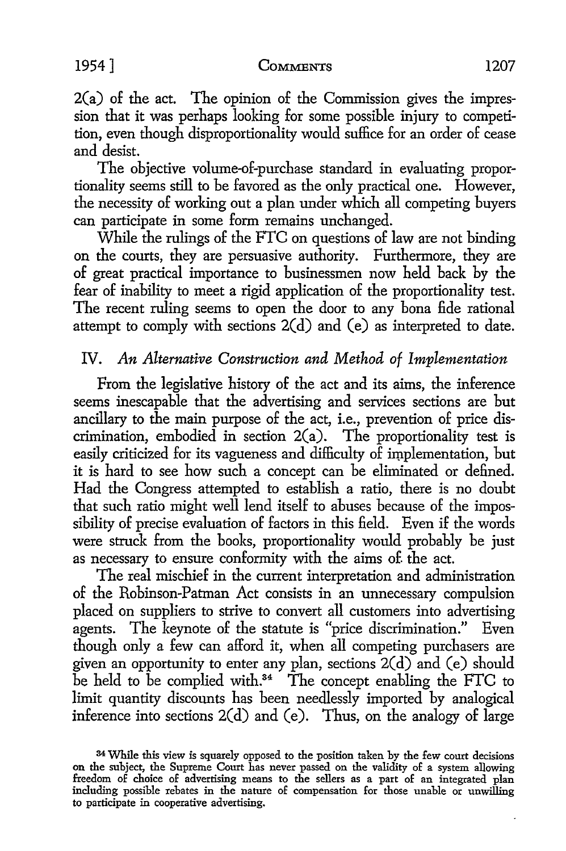$2(a)$  of the act. The opinion of the Commission gives the impression that it was perhaps looking for some possible injury to competition, even though disproportionality would suffice for an order of cease and desist.

The objective volume-of-purchase standard in evaluating proportionality seems still to be favored as the only practical one. However, the necessity of working out a plan under which all competing buyers can participate in some form remains unchanged.

While the rulings of the FTC on questions of law are not binding on the courts, they are persuasive authority. Furthermore, they are of great practical importance to businessmen now held back by the fear of inability to meet a rigid application of the proportionality test. The recent ruling seems to open the door to any bona fide rational attempt to comply with sections 2(d) and (e) as interpreted to date.

## IV. *An Alternative Construction and Method of Implementation*

From the legislative history of the act and its aims, the inference seems inescapable that the advertising and services sections are but ancillary to the main purpose of the act, i.e., prevention of price discrimination, embodied in section 2(a). The proportionality test is easily criticized for its vagueness and difficulty of implementation, but it is hard to see how such a concept can be eliminated or defined. Had the Congress attempted to establish a ratio, there is no doubt that such ratio might well lend itself to abuses because of the impossibility of precise evaluation of factors in this field. Even if the words were struck from the books, proportionality would probably be just as necessary to ensure conformity with the aims of. the act.

The real mischief in the current interpretation and administration of the Robinson-Patman Act consists in an unnecessary compulsion placed on suppliers to strive to convert all customers into advertising agents. The keynote of the statute is "price discrimination." Even though only a few can afford it, when all competing purchasers are given an opportunity to enter any plan, sections 2(d) and (e) should be held to be complied with.<sup>34</sup> The concept enabling the FTC to limit quantity discounts has been needlessly imported by analogical inference into sections 2(d) and (e). Thus, on the analogy of large

<sup>34</sup>While this view is squarely opposed to the position taken by the few court decisions on the subject, the Supreme Court has never passed on the validity of a system allowing freedom of choice of advertising means to the sellers as a part of an integrated plan including possible rebates in the nature of compensation for those unable or unwilling to participate in cooperative advertising.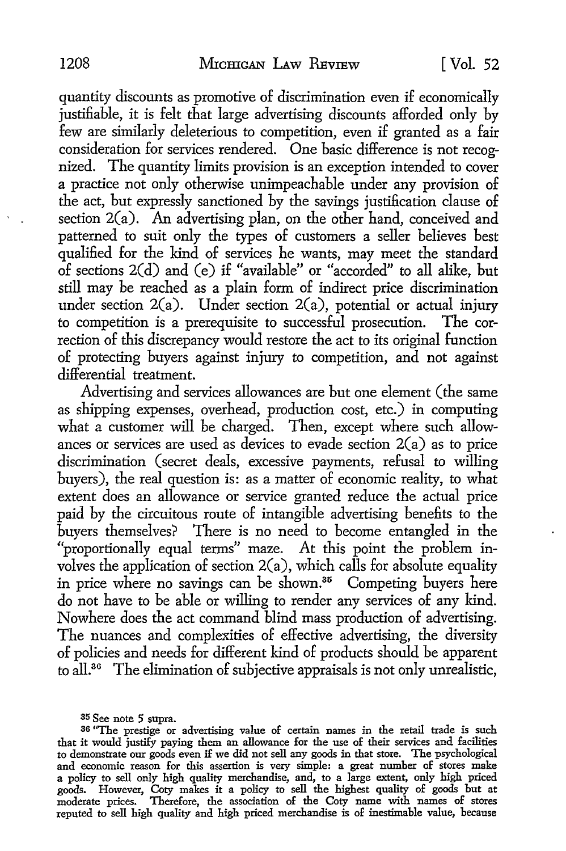quantity discounts as promotive of discrimination even if economically justifiable, it is felt that large advertising discounts afforded only by few are similarly deleterious to competition, even if granted as a fair consideration for services rendered. One basic difference is not recognized. The quantity limits provision is an exception intended to cover a practice not only otherwise unimpeachable under any provision of the act, but expressly sanctioned by the savings justification clause of section 2(a). An advertising plan, on the other hand, conceived and patterned to suit only the types of customers a seller believes best qualified for the kind of services he wants, may meet the standard of sections 2(d) and (e) if "available" or "accorded" to all alike, but still may be reached as a plain form of indirect price discrimination under section  $2(a)$ . Under section  $2(a)$ , potential or actual injury to competition is a prerequisite to successful prosecution. The correction of this discrepancy would restore the act to its original function of protecting buyers against injury to competition, and not against differential treatment.

Advertising and services allowances are but one element (the same as shipping expenses, overhead, production cost, etc.) in computing what a customer will be charged. Then, except where such allowances or services are used as devices to evade section  $2(a)$  as to price discrimination (secret deals, excessive payments, refusal to willing buyers), the real question is: as a matter of economic reality, to what extent does an allowance or service granted reduce the actual price paid by the circuitous route of intangible advertising benefits to the buyers themselves? There is no need to become entangled in the "proportionally equal terms" maze. At this point the problem involves the application of section  $2(a)$ , which calls for absolute equality in price where no savings can be shown.<sup>35</sup> Competing buyers here do not have to be able or willing to render any services of any kind. Nowhere does the act command blind mass production of advertising. The nuances and complexities of effective advertising, the diversity of policies and needs for different kind of products should be apparent to all.<sup>36</sup> The elimination of subjective appraisals is not only unrealistic,

35 See note 5 supra.

<sup>36 &</sup>quot;The prestige or advertising value of certain names in the retail trade is such that it would justify paying them an allowance for the use of their services and facilities to demonstrate our goods even if we did not sell any goods in that store. The psychological and economic reason for this assertion is very simple: a great number of stores make a policy to sell only high quality merchandise, and, to a large extent, only high priced goods. However, Coty makes it a policy to sell the highest quality of goods but at moderate prices. Therefore, the association of the Coty name with names of stores reputed to sell high quality and high priced merchandise is of inestimable value, because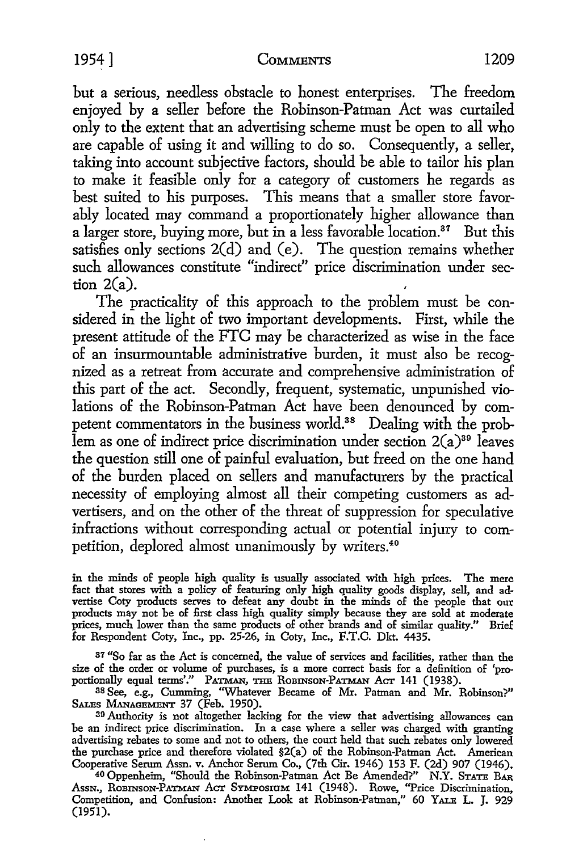but a serious, needless obstacle to honest enterprises. The freedom enjoyed by a seller before the Robinson-Patman Act was curtailed only to the extent that an advertising scheme must be open to all who are capable of using it and willing to do so. Consequently, a seller, taking into account subjective factors, should be able to tailor his plan to make it feasible only for a category of customers he regards as best suited to his purposes. This means that a smaller store favorably located may command a proportionately higher allowance than a larger store, buying more, but in a less favorable location.<sup>37</sup> But this satisfies only sections  $2(d)$  and (e). The question remains whether such allowances constitute "indirect" price discrimination under section  $2(a)$ .

The practicality of this approach to the problem must be considered in the light of two important developments. First, while the present attitude of the FTC may be characterized as wise in the face of an insurmountable administrative burden, it must also be recognized as a retreat from accurate and comprehensive administration of this part of the act. Secondly, frequent, systematic, unpunished violations of the Robinson-Patman Act have been denounced by competent commentators in the business world.<sup>38</sup> Dealing with the problem as one of indirect price discrimination under section  $2(a)^{39}$  leaves the question still one of painful evaluation, but freed on the one hand of the burden placed on sellers and manufacturers by the practical necessity of employing almost all their competing customers as advertisers, and on the other of the threat of suppression for speculative infractions without corresponding actual or potential injury to competition, deplored almost unanimously by writers.<sup>40</sup>

in the minds of people high quality is usually associated with high prices. The mere fact that stores with a policy of featuring only high quality goods display, sell, and ad-vertise Coty products serves to defeat any doubt in the minds of the people that our products may not be of first class high quality simply because they are sold at moderate prices, much lower than the same products of other brands and of similar quality." Brief for Respondent Coty, Inc., pp. 25-26, in Coty, Inc., F.T.C. Dkt. 4435.

37 "So far as the Act is concerned, the value of services and facilities, rather than the size of the order or volume of purchases, is a more correct basis for a definition of 'pro-<br>portionally equal terms'." PATMAN, THE ROBINSON-PATMAN ACT 141 (1938). portionally equal terms'." PATMAN, THB ROBINSON-PATMAN Acr 141 (1938). 38 See, e.g., Cumming, "Whatever Became of Mr. Patman and Mr. Robinson?"

SALEs MANAGEMENT 37 (Feb. 1950).

39 Authority is not altogether lacking for the view that advertising allowances can be an indirect price discrimination. In a case where a seller was charged with granting advertising rebates to some and not to others, the court held that such rebates only lowered the purchase price and therefore violated §2(a) of the Robinson-Patman Act. American Cooperative Serum Assn. v. Anchor Serum Co., (7th Cir. 1946) 153 F. (2d) 907 (1946).

40 Oppenheim, "Should the Robinson-Patman Act Be Amended?" N.Y. STATE BAR Assn., ROBINSON-PATMAN ACT SYMPOSIUM 141 (1948). Rowe, "Price Discrimination, Competition, and Confusion: Another Look at Robinson-Patman," 60 YALE L. J. 929 (1951).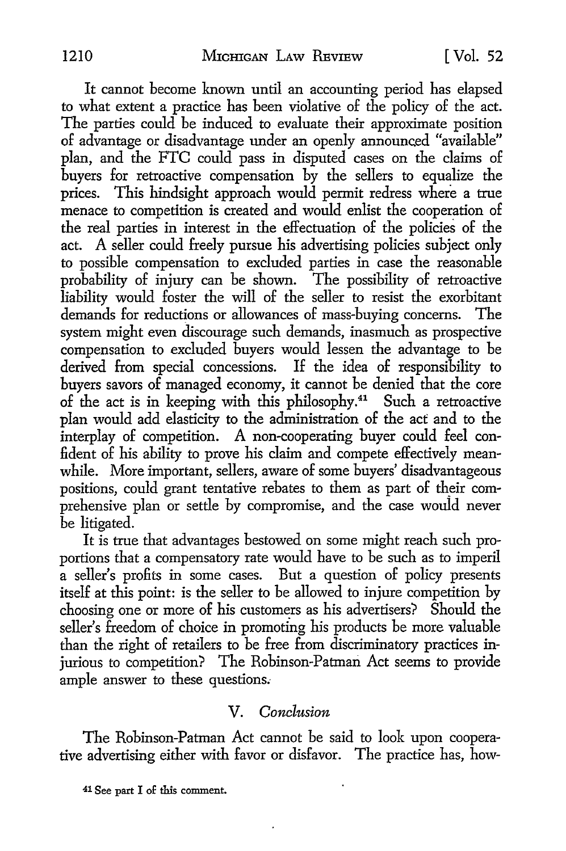It cannot become known until an accounting period has elapsed to what extent a practice has been violative of the policy of the act. The parties could be induced to evaluate their approximate position of advantage or disadvantage under an openly announced "available" plan, and the FTC could pass in disputed cases on the claims of buyers for retroactive compensation by the sellers to equalize the prices. This hindsight approach would permit redress where a true menace to competition is created and would enlist the cooperation of the real parties in interest in the effectuatiop. of the policies of the act. A seller could freely pursue his advertising policies subject only to possible compensation to excluded parties in case the reasonable probability of injury can be shown. The possibility of retroactive liability would foster the will of the seller to resist the exorbitant demands for reductions or allowances of mass-buying concerns. The system might even discourage such demands, inasmuch as prospective compensation to excluded buyers would lessen the advantage to be derived from special concessions. If the idea of responsibility to buyers savors of managed economy, it cannot be denied that the core of the act is in keeping with this philosophy.41 Such a retroactive plan would add elasticity to the administration of the act and to the interplay of competition. A non-cooperating buyer could feel confident of his ability to prove his claim and compete effectively meanwhile. More important, sellers, aware of some buyers' disadvantageous positions, could grant tentative rebates to them as part of their comprehensive plan or settle by compromise, and the case would never be litigated.

It is true that advantages bestowed on some might reach such proportions that a compensatory rate would have to be such as to imperil a seller's profits in some cases. But a question of policy presents itself at this point: is the seller to be allowed to injure competition by choosing one or more of his customers as his advertisers? Should the seller's freedom of choice in promoting his products be more valuable than the right of retailers to be free from discriminatory practices injurious to competition? The Robinson-Patman Act seems to provide ample answer to these questions.

#### V. *Conclusion*

The Robinson-Patman Act cannot be said to look upon cooperative advertising either with favor or disfavor. The practice has, how-

<sup>41</sup> See part I of this comment.